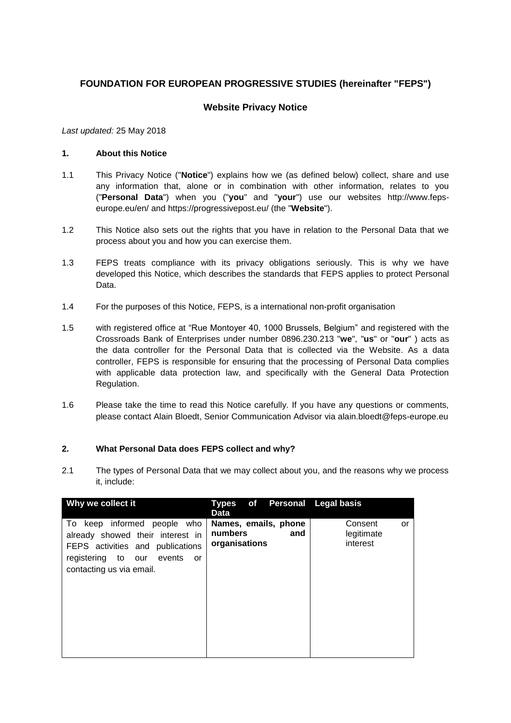# **FOUNDATION FOR EUROPEAN PROGRESSIVE STUDIES (hereinafter "FEPS")**

# **Website Privacy Notice**

*Last updated:* 25 May 2018

#### **1. About this Notice**

- 1.1 This Privacy Notice ("**Notice**") explains how we (as defined below) collect, share and use any information that, alone or in combination with other information, relates to you ("**Personal Data**") when you ("**you**" and "**your**") use our websites http://www.fepseurope.eu/en/ and https://progressivepost.eu/ (the "**Website**").
- 1.2 This Notice also sets out the rights that you have in relation to the Personal Data that we process about you and how you can exercise them.
- 1.3 FEPS treats compliance with its privacy obligations seriously. This is why we have developed this Notice, which describes the standards that FEPS applies to protect Personal Data.
- 1.4 For the purposes of this Notice, FEPS, is a international non-profit organisation
- 1.5 with registered office at "Rue Montoyer 40, 1000 Brussels, Belgium" and registered with the Crossroads Bank of Enterprises under number 0896.230.213 "**we**", "**us**" or "**our**" ) acts as the data controller for the Personal Data that is collected via the Website. As a data controller, FEPS is responsible for ensuring that the processing of Personal Data complies with applicable data protection law, and specifically with the General Data Protection Regulation.
- 1.6 Please take the time to read this Notice carefully. If you have any questions or comments, please contact Alain Bloedt, Senior Communication Advisor via alain.bloedt@feps-europe.eu

## **2. What Personal Data does FEPS collect and why?**

2.1 The types of Personal Data that we may collect about you, and the reasons why we process it, include:

| Why we collect it                                                                                                                                                  | Types of Personal Legalbasis<br>Data                    |                                         |
|--------------------------------------------------------------------------------------------------------------------------------------------------------------------|---------------------------------------------------------|-----------------------------------------|
| To keep informed people who<br>already showed their interest in<br>FEPS activities and publications<br>registering to our events<br>or<br>contacting us via email. | Names, emails, phone<br>numbers<br>and<br>organisations | Consent<br>or<br>legitimate<br>interest |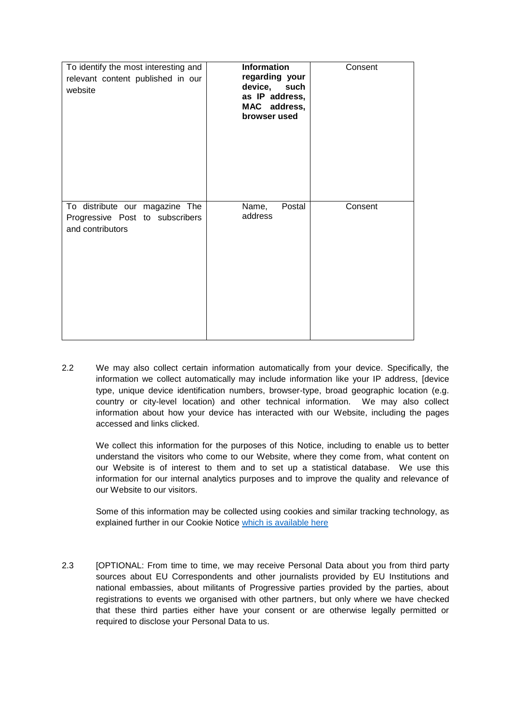| To identify the most interesting and<br>relevant content published in our<br>website  | <b>Information</b><br>regarding your<br>device, such<br>as IP address,<br>MAC address,<br>browser used | Consent |
|---------------------------------------------------------------------------------------|--------------------------------------------------------------------------------------------------------|---------|
| To distribute our magazine The<br>Progressive Post to subscribers<br>and contributors | Name,<br>Postal<br>address                                                                             | Consent |

2.2 We may also collect certain information automatically from your device. Specifically, the information we collect automatically may include information like your IP address, [device type, unique device identification numbers, browser-type, broad geographic location (e.g. country or city-level location) and other technical information. We may also collect information about how your device has interacted with our Website, including the pages accessed and links clicked.

We collect this information for the purposes of this Notice, including to enable us to better understand the visitors who come to our Website, where they come from, what content on our Website is of interest to them and to set up a statistical database. We use this information for our internal analytics purposes and to improve the quality and relevance of our Website to our visitors.

Some of this information may be collected using cookies and similar tracking technology, as explained further in our Cookie Notice [which is available here](http://www.feps-europe.eu/cookie-policy.html)

2.3 [OPTIONAL: From time to time, we may receive Personal Data about you from third party sources about EU Correspondents and other journalists provided by EU Institutions and national embassies, about militants of Progressive parties provided by the parties, about registrations to events we organised with other partners, but only where we have checked that these third parties either have your consent or are otherwise legally permitted or required to disclose your Personal Data to us.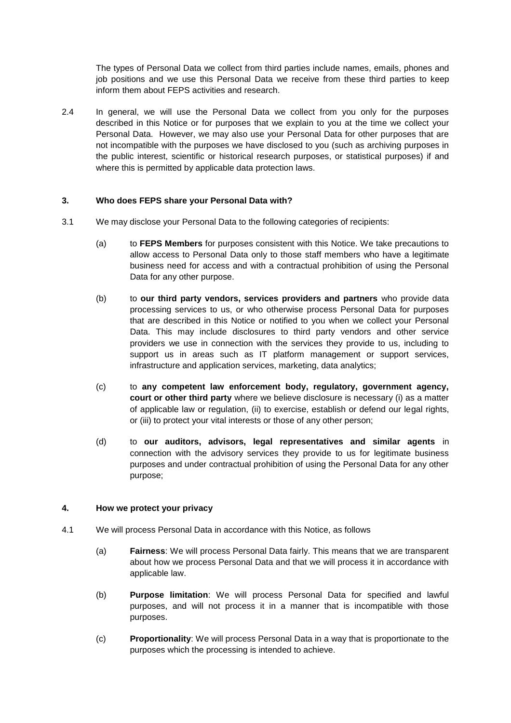The types of Personal Data we collect from third parties include names, emails, phones and job positions and we use this Personal Data we receive from these third parties to keep inform them about FEPS activities and research.

2.4 In general, we will use the Personal Data we collect from you only for the purposes described in this Notice or for purposes that we explain to you at the time we collect your Personal Data. However, we may also use your Personal Data for other purposes that are not incompatible with the purposes we have disclosed to you (such as archiving purposes in the public interest, scientific or historical research purposes, or statistical purposes) if and where this is permitted by applicable data protection laws.

## **3. Who does FEPS share your Personal Data with?**

- 3.1 We may disclose your Personal Data to the following categories of recipients:
	- (a) to **FEPS Members** for purposes consistent with this Notice. We take precautions to allow access to Personal Data only to those staff members who have a legitimate business need for access and with a contractual prohibition of using the Personal Data for any other purpose.
	- (b) to **our third party vendors, services providers and partners** who provide data processing services to us, or who otherwise process Personal Data for purposes that are described in this Notice or notified to you when we collect your Personal Data. This may include disclosures to third party vendors and other service providers we use in connection with the services they provide to us, including to support us in areas such as IT platform management or support services, infrastructure and application services, marketing, data analytics;
	- (c) to **any competent law enforcement body, regulatory, government agency, court or other third party** where we believe disclosure is necessary (i) as a matter of applicable law or regulation, (ii) to exercise, establish or defend our legal rights, or (iii) to protect your vital interests or those of any other person;
	- (d) to **our auditors, advisors, legal representatives and similar agents** in connection with the advisory services they provide to us for legitimate business purposes and under contractual prohibition of using the Personal Data for any other purpose;

## **4. How we protect your privacy**

- 4.1 We will process Personal Data in accordance with this Notice, as follows
	- (a) **Fairness**: We will process Personal Data fairly. This means that we are transparent about how we process Personal Data and that we will process it in accordance with applicable law.
	- (b) **Purpose limitation**: We will process Personal Data for specified and lawful purposes, and will not process it in a manner that is incompatible with those purposes.
	- (c) **Proportionality**: We will process Personal Data in a way that is proportionate to the purposes which the processing is intended to achieve.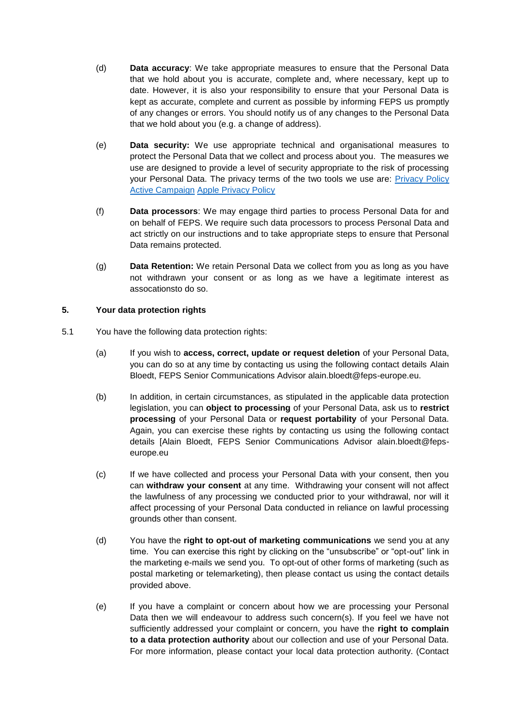- (d) **Data accuracy**: We take appropriate measures to ensure that the Personal Data that we hold about you is accurate, complete and, where necessary, kept up to date. However, it is also your responsibility to ensure that your Personal Data is kept as accurate, complete and current as possible by informing FEPS us promptly of any changes or errors. You should notify us of any changes to the Personal Data that we hold about you (e.g. a change of address).
- (e) **Data security:** We use appropriate technical and organisational measures to protect the Personal Data that we collect and process about you. The measures we use are designed to provide a level of security appropriate to the risk of processing your Personal Data. The privacy terms of the two tools we use are: [Privacy Policy](https://help.activecampaign.com/hc/en-us/articles/218789997-Privacy-Policy)  [Active Campaign](https://help.activecampaign.com/hc/en-us/articles/218789997-Privacy-Policy) [Apple Privacy Policy](https://www.apple.com/legal/privacy/en-ww/)
- (f) **Data processors**: We may engage third parties to process Personal Data for and on behalf of FEPS. We require such data processors to process Personal Data and act strictly on our instructions and to take appropriate steps to ensure that Personal Data remains protected.
- (g) **Data Retention:** We retain Personal Data we collect from you as long as you have not withdrawn your consent or as long as we have a legitimate interest as assocationsto do so.

# **5. Your data protection rights**

- 5.1 You have the following data protection rights:
	- (a) If you wish to **access, correct, update or request deletion** of your Personal Data, you can do so at any time by contacting us using the following contact details Alain Bloedt, FEPS Senior Communications Advisor alain.bloedt@feps-europe.eu.
	- (b) In addition, in certain circumstances, as stipulated in the applicable data protection legislation, you can **object to processing** of your Personal Data, ask us to **restrict processing** of your Personal Data or **request portability** of your Personal Data. Again, you can exercise these rights by contacting us using the following contact details [Alain Bloedt, FEPS Senior Communications Advisor alain.bloedt@fepseurope.eu
	- (c) If we have collected and process your Personal Data with your consent, then you can **withdraw your consent** at any time. Withdrawing your consent will not affect the lawfulness of any processing we conducted prior to your withdrawal, nor will it affect processing of your Personal Data conducted in reliance on lawful processing grounds other than consent.
	- (d) You have the **right to opt-out of marketing communications** we send you at any time. You can exercise this right by clicking on the "unsubscribe" or "opt-out" link in the marketing e-mails we send you. To opt-out of other forms of marketing (such as postal marketing or telemarketing), then please contact us using the contact details provided above.
	- (e) If you have a complaint or concern about how we are processing your Personal Data then we will endeavour to address such concern(s). If you feel we have not sufficiently addressed your complaint or concern, you have the **right to complain to a data protection authority** about our collection and use of your Personal Data. For more information, please contact your local data protection authority. (Contact